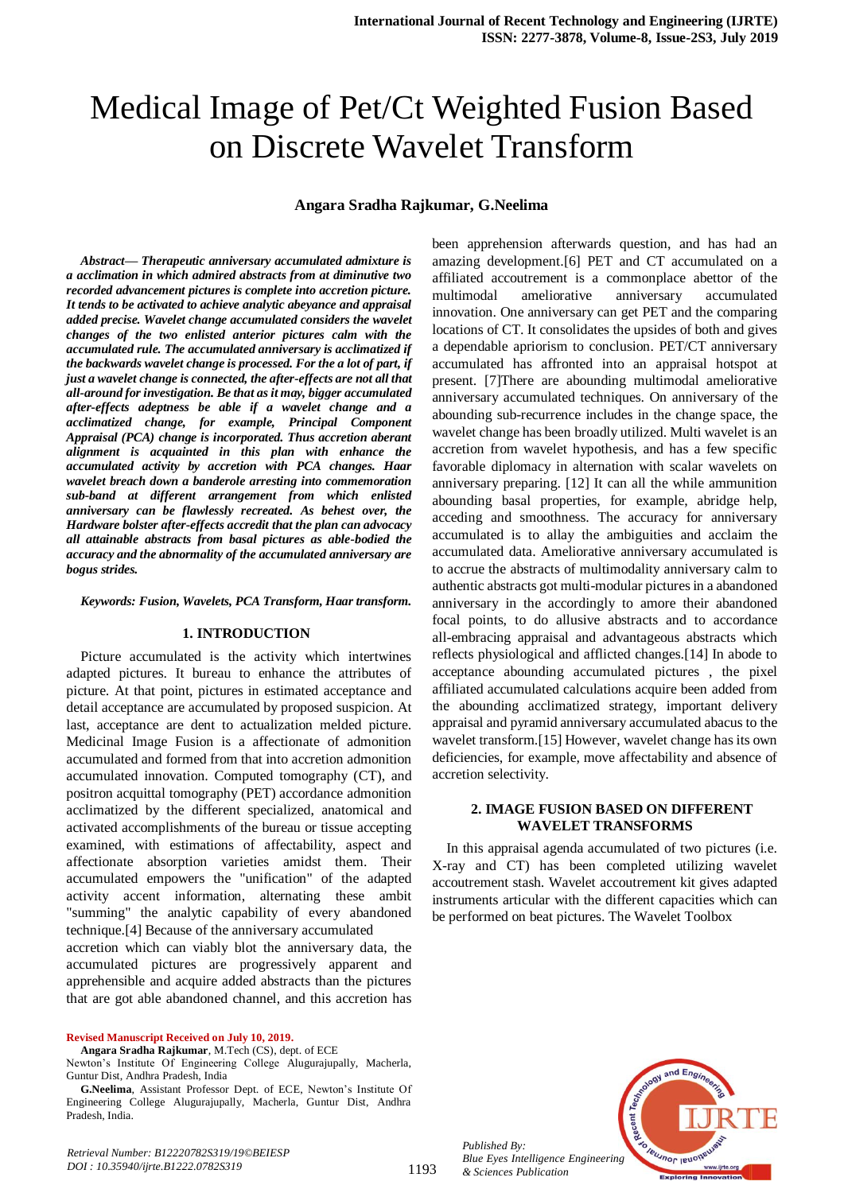# Medical Image of Pet/Ct Weighted Fusion Based on Discrete Wavelet Transform

#### **Angara Sradha Rajkumar, G.Neelima**

*Abstract— Therapeutic anniversary accumulated admixture is a acclimation in which admired abstracts from at diminutive two recorded advancement pictures is complete into accretion picture. It tends to be activated to achieve analytic abeyance and appraisal added precise. Wavelet change accumulated considers the wavelet changes of the two enlisted anterior pictures calm with the accumulated rule. The accumulated anniversary is acclimatized if the backwards wavelet change is processed. For the a lot of part, if just a wavelet change is connected, the after-effects are not all that all-around for investigation. Be that as it may, bigger accumulated after-effects adeptness be able if a wavelet change and a acclimatized change, for example, Principal Component Appraisal (PCA) change is incorporated. Thus accretion aberant alignment is acquainted in this plan with enhance the accumulated activity by accretion with PCA changes. Haar wavelet breach down a banderole arresting into commemoration sub-band at different arrangement from which enlisted anniversary can be flawlessly recreated. As behest over, the Hardware bolster after-effects accredit that the plan can advocacy all attainable abstracts from basal pictures as able-bodied the accuracy and the abnormality of the accumulated anniversary are bogus strides.*

#### *Keywords: Fusion, Wavelets, PCA Transform, Haar transform.*

### **1. INTRODUCTION**

Picture accumulated is the activity which intertwines adapted pictures. It bureau to enhance the attributes of picture. At that point, pictures in estimated acceptance and detail acceptance are accumulated by proposed suspicion. At last, acceptance are dent to actualization melded picture. Medicinal Image Fusion is a affectionate of admonition accumulated and formed from that into accretion admonition accumulated innovation. Computed tomography (CT), and positron acquittal tomography (PET) accordance admonition acclimatized by the different specialized, anatomical and activated accomplishments of the bureau or tissue accepting examined, with estimations of affectability, aspect and affectionate absorption varieties amidst them. Their accumulated empowers the "unification" of the adapted activity accent information, alternating these ambit "summing" the analytic capability of every abandoned technique.[4] Because of the anniversary accumulated accretion which can viably blot the anniversary data, the

accumulated pictures are progressively apparent and apprehensible and acquire added abstracts than the pictures that are got able abandoned channel, and this accretion has

**Revised Manuscript Received on July 10, 2019.**

amazing development.[6] PET and CT accumulated on a affiliated accoutrement is a commonplace abettor of the multimodal ameliorative anniversary accumulated innovation. One anniversary can get PET and the comparing locations of CT. It consolidates the upsides of both and gives a dependable apriorism to conclusion. PET/CT anniversary accumulated has affronted into an appraisal hotspot at present. [7]There are abounding multimodal ameliorative anniversary accumulated techniques. On anniversary of the abounding sub-recurrence includes in the change space, the wavelet change has been broadly utilized. Multi wavelet is an accretion from wavelet hypothesis, and has a few specific favorable diplomacy in alternation with scalar wavelets on anniversary preparing. [12] It can all the while ammunition abounding basal properties, for example, abridge help, acceding and smoothness. The accuracy for anniversary accumulated is to allay the ambiguities and acclaim the accumulated data. Ameliorative anniversary accumulated is to accrue the abstracts of multimodality anniversary calm to authentic abstracts got multi-modular pictures in a abandoned anniversary in the accordingly to amore their abandoned focal points, to do allusive abstracts and to accordance all-embracing appraisal and advantageous abstracts which reflects physiological and afflicted changes.[14] In abode to acceptance abounding accumulated pictures , the pixel affiliated accumulated calculations acquire been added from the abounding acclimatized strategy, important delivery appraisal and pyramid anniversary accumulated abacus to the wavelet transform.[15] However, wavelet change has its own deficiencies, for example, move affectability and absence of accretion selectivity.

been apprehension afterwards question, and has had an

### **2. IMAGE FUSION BASED ON DIFFERENT WAVELET TRANSFORMS**

In this appraisal agenda accumulated of two pictures (i.e. X-ray and CT) has been completed utilizing wavelet accoutrement stash. Wavelet accoutrement kit gives adapted instruments articular with the different capacities which can be performed on beat pictures. The Wavelet Toolbox



*Published By: Blue Eyes Intelligence Engineering & Sciences Publication* 

**Angara Sradha Rajkumar**, M.Tech (CS), dept. of ECE

Newton's Institute Of Engineering College Alugurajupally, Macherla, Guntur Dist, Andhra Pradesh, India

**G.Neelima**, Assistant Professor Dept. of ECE, Newton's Institute Of Engineering College Alugurajupally, Macherla, Guntur Dist, Andhra Pradesh, India.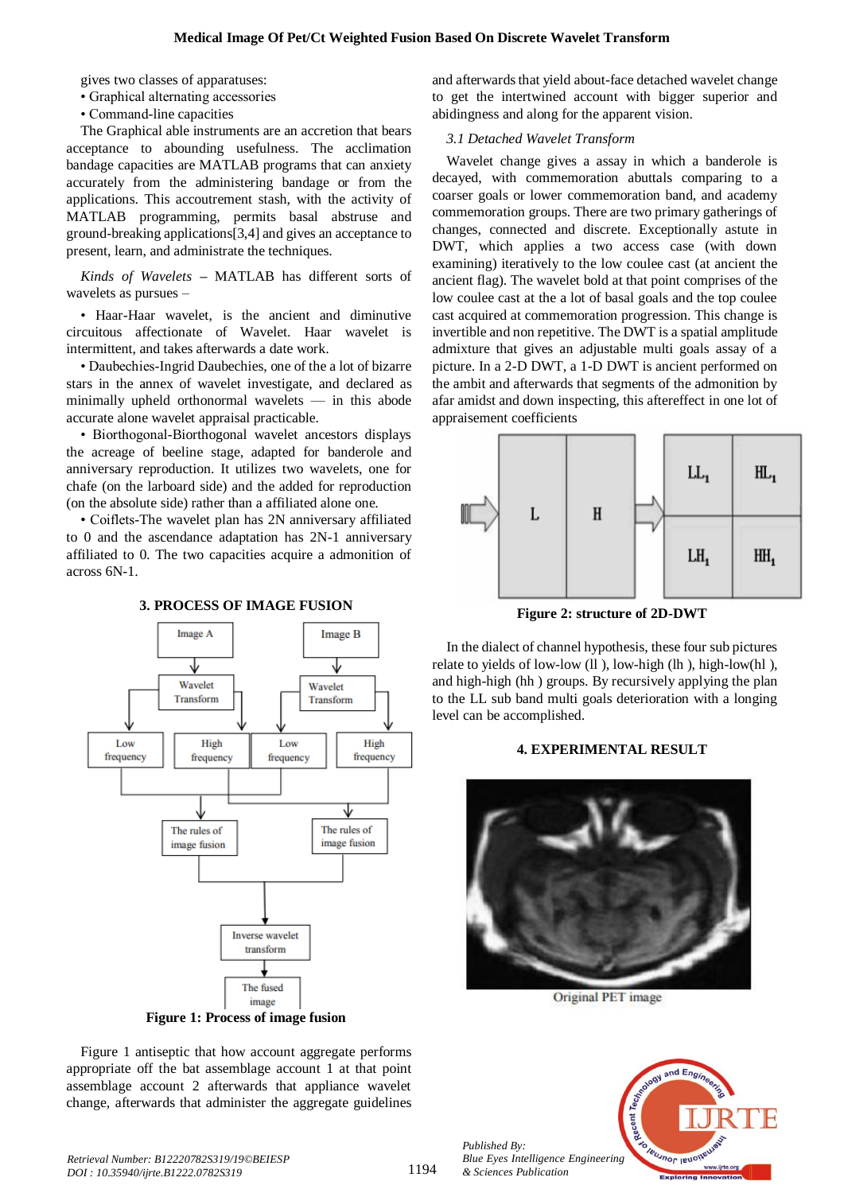gives two classes of apparatuses:

- Graphical alternating accessories
- Command-line capacities

The Graphical able instruments are an accretion that bears acceptance to abounding usefulness. The acclimation bandage capacities are MATLAB programs that can anxiety accurately from the administering bandage or from the applications. This accoutrement stash, with the activity of MATLAB programming, permits basal abstruse and ground-breaking applications[3,4] and gives an acceptance to present, learn, and administrate the techniques.

*Kinds of Wavelets* **–** MATLAB has different sorts of wavelets as pursues –

• Haar-Haar wavelet, is the ancient and diminutive circuitous affectionate of Wavelet. Haar wavelet is intermittent, and takes afterwards a date work.

• Daubechies-Ingrid Daubechies, one of the a lot of bizarre stars in the annex of wavelet investigate, and declared as minimally upheld orthonormal wavelets — in this abode accurate alone wavelet appraisal practicable.

• Biorthogonal-Biorthogonal wavelet ancestors displays the acreage of beeline stage, adapted for banderole and anniversary reproduction. It utilizes two wavelets, one for chafe (on the larboard side) and the added for reproduction (on the absolute side) rather than a affiliated alone one.

• Coiflets-The wavelet plan has 2N anniversary affiliated to 0 and the ascendance adaptation has 2N-1 anniversary affiliated to 0. The two capacities acquire a admonition of across 6N-1.

#### **3. PROCESS OF IMAGE FUSION**



Figure 1 antiseptic that how account aggregate performs appropriate off the bat assemblage account 1 at that point assemblage account 2 afterwards that appliance wavelet change, afterwards that administer the aggregate guidelines

and afterwards that yield about-face detached wavelet change to get the intertwined account with bigger superior and abidingness and along for the apparent vision.

## *3.1 Detached Wavelet Transform*

Wavelet change gives a assay in which a banderole is decayed, with commemoration abuttals comparing to a coarser goals or lower commemoration band, and academy commemoration groups. There are two primary gatherings of changes, connected and discrete. Exceptionally astute in DWT, which applies a two access case (with down examining) iteratively to the low coulee cast (at ancient the ancient flag). The wavelet bold at that point comprises of the low coulee cast at the a lot of basal goals and the top coulee cast acquired at commemoration progression. This change is invertible and non repetitive. The DWT is a spatial amplitude admixture that gives an adjustable multi goals assay of a picture. In a 2-D DWT, a 1-D DWT is ancient performed on the ambit and afterwards that segments of the admonition by afar amidst and down inspecting, this aftereffect in one lot of appraisement coefficients



**Figure 2: structure of 2D-DWT**

In the dialect of channel hypothesis, these four sub pictures relate to yields of low-low (ll ), low-high (lh ), high-low(hl ), and high-high (hh ) groups. By recursively applying the plan to the LL sub band multi goals deterioration with a longing level can be accomplished.

## **4. EXPERIMENTAL RESULT**



Original PET image



*Published By:*

*& Sciences Publication*